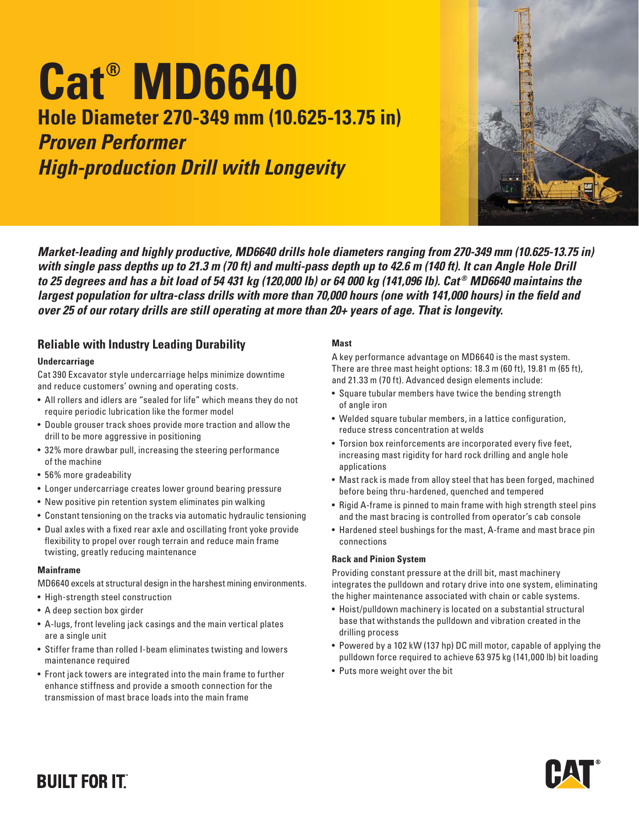# **Cat® MD6640 Hole Diameter 270-349 mm (10.625-13.75 in)**

# *Proven Performer High-production Drill with Longevity*



*Market-leading and highly productive, MD6640 drills hole diameters ranging from 270-349 mm (10.625-13.75 in) with single pass depths up to 21.3 m (70 ft) and multi-pass depth up to 42.6 m (140 ft). It can Angle Hole Drill to 25 degrees and has a bit load of 54 431 kg (120,000 lb) or 64 000 kg (141,096 lb). Cat ® MD6640 maintains the largest population for ultra-class drills with more than 70,000 hours (one with 141,000 hours) in the field and over 25 of our rotary drills are still operating at more than 20+ years of age. That is longevity.*

### **Reliable with Industry Leading Durability**

### **Undercarriage**

Cat 390 Excavator style undercarriage helps minimize downtime and reduce customers' owning and operating costs.

- All rollers and idlers are "sealed for life" which means they do not require periodic lubrication like the former model
- Double grouser track shoes provide more traction and allow the drill to be more aggressive in positioning
- 32% more drawbar pull, increasing the steering performance of the machine
- 56% more gradeability
- Longer undercarriage creates lower ground bearing pressure
- New positive pin retention system eliminates pin walking
- Constant tensioning on the tracks via automatic hydraulic tensioning
- Dual axles with a fixed rear axle and oscillating front yoke provide flexibility to propel over rough terrain and reduce main frame twisting, greatly reducing maintenance

### **Mainframe**

MD6640 excels at structural design in the harshest mining environments.

- High-strength steel construction
- A deep section box girder
- A-lugs, front leveling jack casings and the main vertical plates are a single unit
- Stiffer frame than rolled I-beam eliminates twisting and lowers maintenance required
- Front jack towers are integrated into the main frame to further enhance stiffness and provide a smooth connection for the transmission of mast brace loads into the main frame

#### **Mast**

A key performance advantage on MD6640 is the mast system. There are three mast height options: 18.3 m (60 ft), 19.81 m (65 ft), and 21.33 m (70 ft). Advanced design elements include:

- Square tubular members have twice the bending strength of angle iron
- Welded square tubular members, in a lattice configuration, reduce stress concentration at welds
- Torsion box reinforcements are incorporated every five feet, increasing mast rigidity for hard rock drilling and angle hole applications
- Mast rack is made from alloy steel that has been forged, machined before being thru-hardened, quenched and tempered
- Rigid A-frame is pinned to main frame with high strength steel pins and the mast bracing is controlled from operator's cab console
- Hardened steel bushings for the mast, A-frame and mast brace pin connections

### **Rack and Pinion System**

Providing constant pressure at the drill bit, mast machinery integrates the pulldown and rotary drive into one system, eliminating the higher maintenance associated with chain or cable systems.

- Hoist/pulldown machinery is located on a substantial structural base that withstands the pulldown and vibration created in the drilling process
- Powered by a 102 kW (137 hp) DC mill motor, capable of applying the pulldown force required to achieve 63 975 kg (141,000 lb) bit loading
- Puts more weight over the bit



# **BUILT FOR ITT**